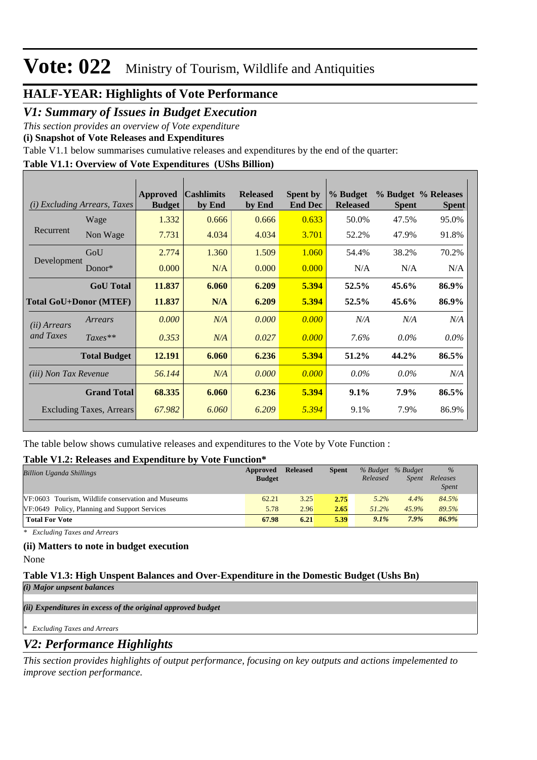### **HALF-YEAR: Highlights of Vote Performance**

*V1: Summary of Issues in Budget Execution*

*This section provides an overview of Vote expenditure* 

**(i) Snapshot of Vote Releases and Expenditures**

Table V1.1 below summarises cumulative releases and expenditures by the end of the quarter:

### **Table V1.1: Overview of Vote Expenditures (UShs Billion)**

|                              | ( <i>i</i> ) Excluding Arrears, Taxes | Approved<br><b>Budget</b> | <b>Cashlimits</b><br>by End | <b>Released</b><br>by End | <b>Spent by</b><br><b>End Dec</b> | % Budget<br><b>Released</b> | <b>Spent</b> | % Budget % Releases<br><b>Spent</b> |
|------------------------------|---------------------------------------|---------------------------|-----------------------------|---------------------------|-----------------------------------|-----------------------------|--------------|-------------------------------------|
|                              | Wage                                  | 1.332                     | 0.666                       | 0.666                     | 0.633                             | 50.0%                       | 47.5%        | 95.0%                               |
| Recurrent                    | Non Wage                              | 7.731                     | 4.034                       | 4.034                     | 3.701                             | 52.2%                       | 47.9%        | 91.8%                               |
|                              | GoU                                   | 2.774                     | 1.360                       | 1.509                     | 1.060                             | 54.4%                       | 38.2%        | 70.2%                               |
| Development                  | Donor $*$                             | 0.000                     | N/A                         | 0.000                     | 0.000                             | N/A                         | N/A          | N/A                                 |
|                              | <b>GoU</b> Total                      | 11.837                    | 6.060                       | 6.209                     | 5.394                             | 52.5%                       | 45.6%        | 86.9%                               |
|                              | <b>Total GoU+Donor (MTEF)</b>         | 11.837                    | N/A                         | 6.209                     | 5.394                             | 52.5%                       | 45.6%        | 86.9%                               |
| ( <i>ii</i> ) Arrears        | Arrears                               | 0.000                     | N/A                         | 0.000                     | 0.000                             | N/A                         | N/A          | N/A                                 |
| and Taxes                    | $Taxes**$                             | 0.353                     | N/A                         | 0.027                     | 0.000                             | 7.6%                        | $0.0\%$      | $0.0\%$                             |
|                              | <b>Total Budget</b>                   | 12.191                    | 6.060                       | 6.236                     | 5.394                             | 51.2%                       | 44.2%        | 86.5%                               |
| <i>(iii)</i> Non Tax Revenue |                                       | 56.144                    | N/A                         | 0.000                     | 0.000                             | $0.0\%$                     | $0.0\%$      | N/A                                 |
|                              | <b>Grand Total</b>                    | 68.335                    | 6.060                       | 6.236                     | 5.394                             | $9.1\%$                     | 7.9%         | 86.5%                               |
|                              | Excluding Taxes, Arrears              | 67.982                    | 6.060                       | 6.209                     | 5.394                             | 9.1%                        | 7.9%         | 86.9%                               |

The table below shows cumulative releases and expenditures to the Vote by Vote Function :

#### **Table V1.2: Releases and Expenditure by Vote Function\***

| <b>Billion Uganda Shillings</b>                    | Approved<br><b>Budget</b> | <b>Released</b> | <b>Spent</b> | % Budget % Budget<br>Released | <b>Spent</b> | $\%$<br>Releases<br><i>Spent</i> |  |
|----------------------------------------------------|---------------------------|-----------------|--------------|-------------------------------|--------------|----------------------------------|--|
| VF:0603 Tourism, Wildlife conservation and Museums | 62.21                     | 3.25            | 2.75         | $5.2\%$                       | 4.4%         | 84.5%                            |  |
| VF:0649 Policy, Planning and Support Services      | 5.78                      | 2.96            | 2.65         | $51.2\%$                      | 45.9%        | 89.5%                            |  |
| <b>Total For Vote</b>                              | 67.98                     | 6.21            | 5.39         | 9.1%                          | $7.9\%$      | 86.9%                            |  |

*\* Excluding Taxes and Arrears*

#### **(ii) Matters to note in budget execution**

None

#### **Table V1.3: High Unspent Balances and Over-Expenditure in the Domestic Budget (Ushs Bn)** *(i) Major unpsent balances*

*(ii) Expenditures in excess of the original approved budget*

*\* Excluding Taxes and Arrears*

## *V2: Performance Highlights*

*This section provides highlights of output performance, focusing on key outputs and actions impelemented to improve section performance.*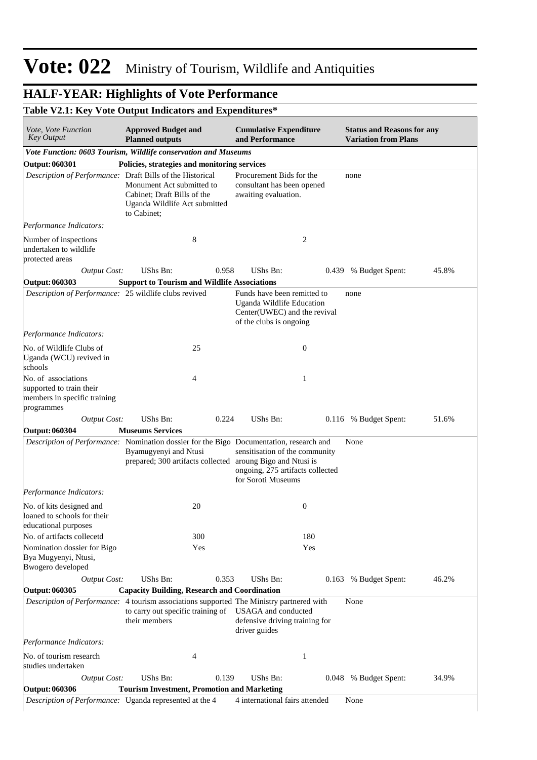## **HALF-YEAR: Highlights of Vote Performance**

## **Table V2.1: Key Vote Output Indicators and Expenditures\***

| Vote, Vote Function<br><b>Key Output</b>                                                      | <b>Approved Budget and</b><br><b>Planned outputs</b>                                                     |       | <b>Cumulative Expenditure</b><br>and Performance                                                                           |                  | <b>Status and Reasons for any</b><br><b>Variation from Plans</b> |       |
|-----------------------------------------------------------------------------------------------|----------------------------------------------------------------------------------------------------------|-------|----------------------------------------------------------------------------------------------------------------------------|------------------|------------------------------------------------------------------|-------|
| Vote Function: 0603 Tourism, Wildlife conservation and Museums                                |                                                                                                          |       |                                                                                                                            |                  |                                                                  |       |
| <b>Output: 060301</b>                                                                         | Policies, strategies and monitoring services                                                             |       |                                                                                                                            |                  |                                                                  |       |
| Description of Performance: Draft Bills of the Historical                                     | Monument Act submitted to<br>Cabinet; Draft Bills of the<br>Uganda Wildlife Act submitted<br>to Cabinet; |       | Procurement Bids for the<br>consultant has been opened<br>awaiting evaluation.                                             |                  | none                                                             |       |
| Performance Indicators:                                                                       |                                                                                                          |       |                                                                                                                            |                  |                                                                  |       |
| Number of inspections<br>undertaken to wildlife<br>protected areas                            | 8                                                                                                        |       |                                                                                                                            | 2                |                                                                  |       |
| <b>Output Cost:</b>                                                                           | UShs Bn:                                                                                                 | 0.958 | UShs Bn:                                                                                                                   |                  | 0.439 % Budget Spent:                                            | 45.8% |
| <b>Output: 060303</b>                                                                         | <b>Support to Tourism and Wildlife Associations</b>                                                      |       |                                                                                                                            |                  |                                                                  |       |
| Description of Performance: 25 wildlife clubs revived                                         |                                                                                                          |       | Funds have been remitted to<br><b>Uganda Wildlife Education</b><br>Center(UWEC) and the revival<br>of the clubs is ongoing |                  | none                                                             |       |
| Performance Indicators:                                                                       |                                                                                                          |       |                                                                                                                            |                  |                                                                  |       |
| No. of Wildlife Clubs of<br>Uganda (WCU) revived in<br>schools                                | 25                                                                                                       |       |                                                                                                                            | $\boldsymbol{0}$ |                                                                  |       |
| No. of associations<br>supported to train their<br>members in specific training<br>programmes | $\overline{4}$                                                                                           |       |                                                                                                                            | 1                |                                                                  |       |
| <b>Output Cost:</b>                                                                           | UShs Bn:                                                                                                 | 0.224 | UShs Bn:                                                                                                                   |                  | 0.116 % Budget Spent:                                            | 51.6% |
| <b>Output: 060304</b>                                                                         | <b>Museums Services</b>                                                                                  |       |                                                                                                                            |                  |                                                                  |       |
| Description of Performance: Nomination dossier for the Bigo Documentation, research and       | Byamugyenyi and Ntusi<br>prepared; 300 artifacts collected aroung Bigo and Ntusi is                      |       | sensitisation of the community<br>ongoing, 275 artifacts collected<br>for Soroti Museums                                   |                  | None                                                             |       |
| Performance Indicators:                                                                       |                                                                                                          |       |                                                                                                                            |                  |                                                                  |       |
| No. of kits designed and<br>loaned to schools for their<br>educational purposes               | 20                                                                                                       |       |                                                                                                                            | $\boldsymbol{0}$ |                                                                  |       |
| No. of artifacts collecetd                                                                    | 300                                                                                                      |       |                                                                                                                            | 180              |                                                                  |       |
| Nomination dossier for Bigo<br>Bya Mugyenyi, Ntusi,<br>Bwogero developed                      | Yes                                                                                                      |       |                                                                                                                            | Yes              |                                                                  |       |
| <b>Output Cost:</b>                                                                           | UShs Bn:                                                                                                 | 0.353 | UShs Bn:                                                                                                                   |                  | 0.163 % Budget Spent:                                            | 46.2% |
| <b>Output: 060305</b>                                                                         | <b>Capacity Building, Research and Coordination</b>                                                      |       |                                                                                                                            |                  |                                                                  |       |
| Description of Performance: 4 tourism associations supported The Ministry partnered with      | to carry out specific training of<br>their members                                                       |       | USAGA and conducted<br>defensive driving training for<br>driver guides                                                     |                  | None                                                             |       |
| Performance Indicators:                                                                       |                                                                                                          |       |                                                                                                                            |                  |                                                                  |       |
| No. of tourism research<br>studies undertaken                                                 | 4                                                                                                        |       |                                                                                                                            | 1                |                                                                  |       |
|                                                                                               | <b>UShs Bn:</b>                                                                                          | 0.139 | UShs Bn:                                                                                                                   |                  | 0.048 % Budget Spent:                                            | 34.9% |
| <b>Output Cost:</b>                                                                           |                                                                                                          |       |                                                                                                                            |                  |                                                                  |       |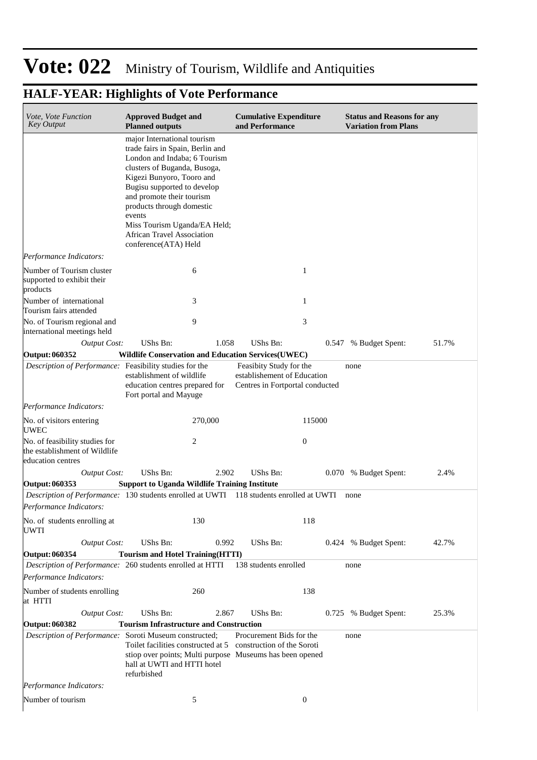# **HALF-YEAR: Highlights of Vote Performance**

| Vote, Vote Function<br><b>Key Output</b>                                             | <b>Approved Budget and</b><br><b>Planned outputs</b>                                                                                                                                                                                                                                                                                                         | <b>Cumulative Expenditure</b><br>and Performance                                          | <b>Status and Reasons for any</b><br><b>Variation from Plans</b> |       |  |
|--------------------------------------------------------------------------------------|--------------------------------------------------------------------------------------------------------------------------------------------------------------------------------------------------------------------------------------------------------------------------------------------------------------------------------------------------------------|-------------------------------------------------------------------------------------------|------------------------------------------------------------------|-------|--|
|                                                                                      | major International tourism<br>trade fairs in Spain, Berlin and<br>London and Indaba: 6 Tourism<br>clusters of Buganda, Busoga,<br>Kigezi Bunyoro, Tooro and<br>Bugisu supported to develop<br>and promote their tourism<br>products through domestic<br>events<br>Miss Tourism Uganda/EA Held;<br><b>African Travel Association</b><br>conference(ATA) Held |                                                                                           |                                                                  |       |  |
| Performance Indicators:                                                              |                                                                                                                                                                                                                                                                                                                                                              |                                                                                           |                                                                  |       |  |
| Number of Tourism cluster<br>supported to exhibit their<br>products                  | 6                                                                                                                                                                                                                                                                                                                                                            | 1                                                                                         |                                                                  |       |  |
| Number of international<br>Tourism fairs attended                                    | 3                                                                                                                                                                                                                                                                                                                                                            | 1                                                                                         |                                                                  |       |  |
| No. of Tourism regional and<br>international meetings held                           | 9                                                                                                                                                                                                                                                                                                                                                            | 3                                                                                         |                                                                  |       |  |
| <b>Output Cost:</b>                                                                  | UShs Bn:<br>1.058                                                                                                                                                                                                                                                                                                                                            | UShs Bn:                                                                                  | 0.547 % Budget Spent:                                            | 51.7% |  |
| <b>Output: 060352</b>                                                                | <b>Wildlife Conservation and Education Services (UWEC)</b>                                                                                                                                                                                                                                                                                                   |                                                                                           |                                                                  |       |  |
| Description of Performance: Feasibility studies for the                              | establishment of wildlife<br>education centres prepared for<br>Fort portal and Mayuge                                                                                                                                                                                                                                                                        | Feasibity Study for the<br>establishement of Education<br>Centres in Fortportal conducted | none                                                             |       |  |
| Performance Indicators:                                                              |                                                                                                                                                                                                                                                                                                                                                              |                                                                                           |                                                                  |       |  |
| No. of visitors entering<br><b>UWEC</b>                                              | 270,000                                                                                                                                                                                                                                                                                                                                                      | 115000                                                                                    |                                                                  |       |  |
| No. of feasibility studies for<br>the establishment of Wildlife<br>education centres | 2                                                                                                                                                                                                                                                                                                                                                            | $\mathbf{0}$                                                                              |                                                                  |       |  |
| <b>Output Cost:</b>                                                                  | UShs Bn:<br>2.902                                                                                                                                                                                                                                                                                                                                            | UShs Bn:                                                                                  | 0.070 % Budget Spent:                                            | 2.4%  |  |
| Output: 060353                                                                       | <b>Support to Uganda Wildlife Training Institute</b>                                                                                                                                                                                                                                                                                                         |                                                                                           |                                                                  |       |  |
|                                                                                      | Description of Performance: 130 students enrolled at UWTI 118 students enrolled at UWTI                                                                                                                                                                                                                                                                      |                                                                                           | none                                                             |       |  |
| Performance Indicators:                                                              |                                                                                                                                                                                                                                                                                                                                                              |                                                                                           |                                                                  |       |  |
| No. of students enrolling at<br>UWTI                                                 | 130                                                                                                                                                                                                                                                                                                                                                          | 118                                                                                       |                                                                  |       |  |
| <b>Output Cost:</b>                                                                  | UShs Bn:<br>0.992                                                                                                                                                                                                                                                                                                                                            | UShs Bn:                                                                                  | 0.424 % Budget Spent:                                            | 42.7% |  |
| Output: 060354                                                                       | <b>Tourism and Hotel Training(HTTI)</b>                                                                                                                                                                                                                                                                                                                      |                                                                                           |                                                                  |       |  |
| Performance Indicators:                                                              | Description of Performance: 260 students enrolled at HTTI                                                                                                                                                                                                                                                                                                    | 138 students enrolled                                                                     | none                                                             |       |  |
| Number of students enrolling<br>at HTTI                                              | 260                                                                                                                                                                                                                                                                                                                                                          | 138                                                                                       |                                                                  |       |  |
| <b>Output Cost:</b>                                                                  | UShs Bn:<br>2.867                                                                                                                                                                                                                                                                                                                                            | UShs Bn:                                                                                  | 0.725 % Budget Spent:                                            | 25.3% |  |
| Output: 060382                                                                       | <b>Tourism Infrastructure and Construction</b>                                                                                                                                                                                                                                                                                                               |                                                                                           |                                                                  |       |  |
| Description of Performance: Soroti Museum constructed;                               | Toilet facilities constructed at 5 construction of the Soroti<br>stiop over points; Multi purpose Museums has been opened<br>hall at UWTI and HTTI hotel<br>refurbished                                                                                                                                                                                      | Procurement Bids for the                                                                  | none                                                             |       |  |
| Performance Indicators:                                                              |                                                                                                                                                                                                                                                                                                                                                              |                                                                                           |                                                                  |       |  |
| Number of tourism                                                                    | 5                                                                                                                                                                                                                                                                                                                                                            | $\boldsymbol{0}$                                                                          |                                                                  |       |  |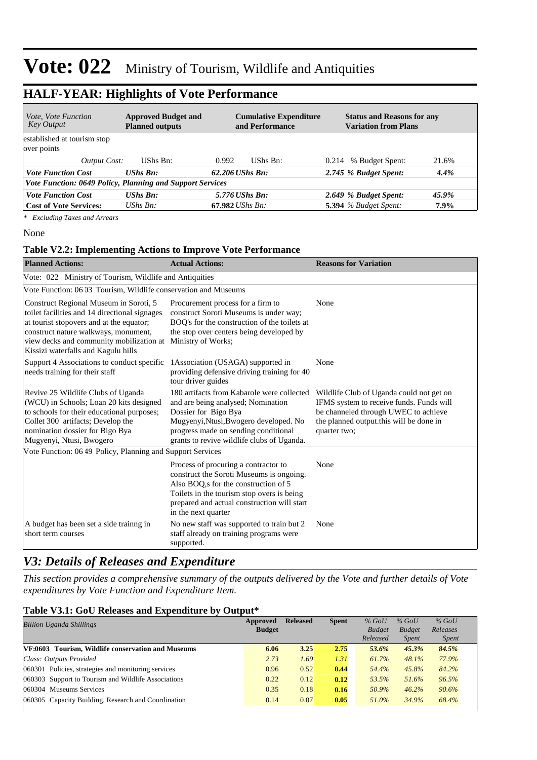### **HALF-YEAR: Highlights of Vote Performance**

| <i>Vote, Vote Function</i><br>Key Output                  | <b>Approved Budget and</b><br><b>Planned outputs</b> | <b>Cumulative Expenditure</b><br>and Performance | <b>Status and Reasons for any</b><br><b>Variation from Plans</b> |
|-----------------------------------------------------------|------------------------------------------------------|--------------------------------------------------|------------------------------------------------------------------|
| established at tourism stop                               |                                                      |                                                  |                                                                  |
| over points                                               |                                                      |                                                  |                                                                  |
| Output Cost:                                              | UShs Bn:                                             | 0.992<br>UShs Bn:                                | % Budget Spent:<br>21.6%<br>0.214                                |
| <b>Vote Function Cost</b>                                 | <b>UShs Bn:</b>                                      | $62.206$ UShs Bn:                                | 2.745 % Budget Spent:<br>4.4%                                    |
| Vote Function: 0649 Policy, Planning and Support Services |                                                      |                                                  |                                                                  |
| <b>Vote Function Cost</b>                                 | <b>UShs Bn:</b>                                      | 5.776 <i>UShs Bn:</i>                            | 2.649 % Budget Spent:<br>45.9%                                   |
| <b>Cost of Vote Services:</b>                             | UShs $Bn$ :                                          | $67.982$ UShs Bn:                                | <b>5.394</b> % Budget Spent:<br>$7.9\%$                          |

*\* Excluding Taxes and Arrears*

None

#### **Table V2.2: Implementing Actions to Improve Vote Performance**

| <b>Planned Actions:</b>                                                                                                                                                                                                                                        | <b>Actual Actions:</b>                                                                                                                                                                                                                        | <b>Reasons for Variation</b>                                                                                                                                                            |  |  |  |  |  |  |  |  |
|----------------------------------------------------------------------------------------------------------------------------------------------------------------------------------------------------------------------------------------------------------------|-----------------------------------------------------------------------------------------------------------------------------------------------------------------------------------------------------------------------------------------------|-----------------------------------------------------------------------------------------------------------------------------------------------------------------------------------------|--|--|--|--|--|--|--|--|
| Vote: 022 Ministry of Tourism, Wildlife and Antiquities                                                                                                                                                                                                        |                                                                                                                                                                                                                                               |                                                                                                                                                                                         |  |  |  |  |  |  |  |  |
|                                                                                                                                                                                                                                                                | Vote Function: 06 03 Tourism, Wildlife conservation and Museums                                                                                                                                                                               |                                                                                                                                                                                         |  |  |  |  |  |  |  |  |
| Construct Regional Museum in Soroti, 5<br>toilet facilities and 14 directional signages<br>at tourist stopovers and at the equator;<br>construct nature walkways, monument,<br>view decks and community mobilization at<br>Kissizi waterfalls and Kagulu hills | Procurement process for a firm to<br>construct Soroti Museums is under way;<br>BOQ's for the construction of the toilets at<br>the stop over centers being developed by<br>Ministry of Works;                                                 | None                                                                                                                                                                                    |  |  |  |  |  |  |  |  |
| Support 4 Associations to conduct specific<br>needs training for their staff                                                                                                                                                                                   | 1 Association (USAGA) supported in<br>providing defensive driving training for 40<br>tour driver guides                                                                                                                                       | None                                                                                                                                                                                    |  |  |  |  |  |  |  |  |
| Revive 25 Wildlife Clubs of Uganda<br>(WCU) in Schools; Loan 20 kits designed<br>to schools for their educational purposes;<br>Collet 300 artifacts; Develop the<br>nomination dossier for Bigo Bya<br>Mugyenyi, Ntusi, Bwogero                                | 180 artifacts from Kabarole were collected<br>and are being analysed; Nomination<br>Dossier for Bigo Bya<br>Mugyenyi, Ntusi, Bwogero developed. No<br>progress made on sending conditional<br>grants to revive wildlife clubs of Uganda.      | Wildlife Club of Uganda could not get on<br>IFMS system to receive funds. Funds will<br>be channeled through UWEC to achieve<br>the planned output.this will be done in<br>quarter two; |  |  |  |  |  |  |  |  |
| Vote Function: 06 49 Policy, Planning and Support Services                                                                                                                                                                                                     |                                                                                                                                                                                                                                               |                                                                                                                                                                                         |  |  |  |  |  |  |  |  |
|                                                                                                                                                                                                                                                                | Process of procuring a contractor to<br>construct the Soroti Museums is ongoing.<br>Also BOQ, s for the construction of 5<br>Toilets in the tourism stop overs is being<br>prepared and actual construction will start<br>in the next quarter | None                                                                                                                                                                                    |  |  |  |  |  |  |  |  |
| A budget has been set a side trainng in<br>short term courses                                                                                                                                                                                                  | No new staff was supported to train but 2<br>staff already on training programs were<br>supported.                                                                                                                                            | None                                                                                                                                                                                    |  |  |  |  |  |  |  |  |

### *V3: Details of Releases and Expenditure*

*This section provides a comprehensive summary of the outputs delivered by the Vote and further details of Vote expenditures by Vote Function and Expenditure Item.*

### **Table V3.1: GoU Releases and Expenditure by Output\***

| <b>Billion Uganda Shillings</b>                     | Approved<br><b>Budget</b> | <b>Released</b> | <b>Spent</b> | $%$ GoU<br><b>Budget</b> | $%$ GoU<br><b>Budget</b> | $%$ GoU<br>Releases |
|-----------------------------------------------------|---------------------------|-----------------|--------------|--------------------------|--------------------------|---------------------|
|                                                     |                           |                 |              | Released                 | <b>Spent</b>             | <i>Spent</i>        |
| VF:0603 Tourism, Wildlife conservation and Museums  | 6.06                      | 3.25            | 2.75         | 53.6%                    | 45.3%                    | 84.5%               |
| Class: Outputs Provided                             | 2.73                      | 1.69            | 1.31         | 61.7%                    | 48.1%                    | 77.9%               |
| 060301 Policies, strategies and monitoring services | 0.96                      | 0.52            | 0.44         | 54.4%                    | 45.8%                    | 84.2%               |
| 060303 Support to Tourism and Wildlife Associations | 0.22                      | 0.12            | 0.12         | 53.5%                    | 51.6%                    | 96.5%               |
| 060304 Museums Services                             | 0.35                      | 0.18            | 0.16         | 50.9%                    | 46.2%                    | 90.6%               |
| 060305 Capacity Building, Research and Coordination | 0.14                      | 0.07            | 0.05         | 51.0%                    | 34.9%                    | 68.4%               |
|                                                     |                           |                 |              |                          |                          |                     |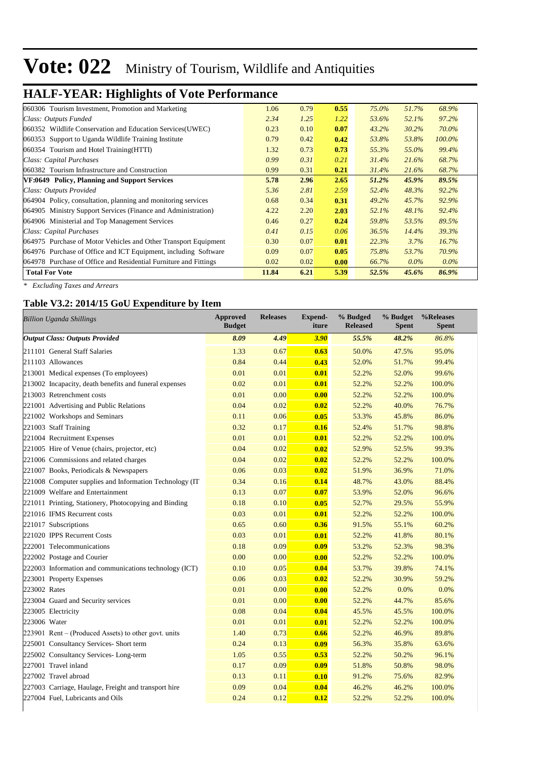# **HALF-YEAR: Highlights of Vote Performance**

| 060306 Tourism Investment, Promotion and Marketing               | 1.06  | 0.79 | 0.55 | 75.0% | 51.7%   | 68.9%   |
|------------------------------------------------------------------|-------|------|------|-------|---------|---------|
| Class: Outputs Funded                                            | 2.34  | 1.25 | 1.22 | 53.6% | 52.1%   | 97.2%   |
| 060352 Wildlife Conservation and Education Services (UWEC)       | 0.23  | 0.10 | 0.07 | 43.2% | 30.2%   | 70.0%   |
| 060353 Support to Uganda Wildlife Training Institute             | 0.79  | 0.42 | 0.42 | 53.8% | 53.8%   | 100.0%  |
| 060354 Tourism and Hotel Training (HTTI)                         | 1.32  | 0.73 | 0.73 | 55.3% | 55.0%   | 99.4%   |
| Class: Capital Purchases                                         | 0.99  | 0.31 | 0.21 | 31.4% | 21.6%   | 68.7%   |
| 060382 Tourism Infrastructure and Construction                   | 0.99  | 0.31 | 0.21 | 31.4% | 21.6%   | 68.7%   |
| VF:0649 Policy, Planning and Support Services                    | 5.78  | 2.96 | 2.65 | 51.2% | 45.9%   | 89.5%   |
| Class: Outputs Provided                                          | 5.36  | 2.81 | 2.59 | 52.4% | 48.3%   | 92.2%   |
| 064904 Policy, consultation, planning and monitoring services    | 0.68  | 0.34 | 0.31 | 49.2% | 45.7%   | 92.9%   |
| 064905 Ministry Support Services (Finance and Administration)    | 4.22  | 2.20 | 2.03 | 52.1% | 48.1%   | 92.4%   |
| 064906 Ministerial and Top Management Services                   | 0.46  | 0.27 | 0.24 | 59.8% | 53.5%   | 89.5%   |
| Class: Capital Purchases                                         | 0.41  | 0.15 | 0.06 | 36.5% | 14.4%   | 39.3%   |
| 064975 Purchase of Motor Vehicles and Other Transport Equipment  | 0.30  | 0.07 | 0.01 | 22.3% | 3.7%    | 16.7%   |
| 064976 Purchase of Office and ICT Equipment, including Software  | 0.09  | 0.07 | 0.05 | 75.8% | 53.7%   | 70.9%   |
| 064978 Purchase of Office and Residential Furniture and Fittings | 0.02  | 0.02 | 0.00 | 66.7% | $0.0\%$ | $0.0\%$ |
| <b>Total For Vote</b>                                            | 11.84 | 6.21 | 5.39 | 52.5% | 45.6%   | 86.9%   |

*\* Excluding Taxes and Arrears*

#### **Table V3.2: 2014/15 GoU Expenditure by Item**

| <b>Billion Uganda Shillings</b>                          | <b>Approved</b><br><b>Budget</b> | <b>Releases</b> | <b>Expend-</b><br>iture | % Budged<br><b>Released</b> | % Budget<br><b>Spent</b> | %Releases<br><b>Spent</b> |
|----------------------------------------------------------|----------------------------------|-----------------|-------------------------|-----------------------------|--------------------------|---------------------------|
| <b>Output Class: Outputs Provided</b>                    | 8.09                             | 4.49            | 3.90                    | 55.5%                       | 48.2%                    | 86.8%                     |
| 211101 General Staff Salaries                            | 1.33                             | 0.67            | 0.63                    | 50.0%                       | 47.5%                    | 95.0%                     |
| 211103 Allowances                                        | 0.84                             | 0.44            | 0.43                    | 52.0%                       | 51.7%                    | 99.4%                     |
| 213001 Medical expenses (To employees)                   | 0.01                             | 0.01            | 0.01                    | 52.2%                       | 52.0%                    | 99.6%                     |
| 213002 Incapacity, death benefits and funeral expenses   | 0.02                             | 0.01            | 0.01                    | 52.2%                       | 52.2%                    | 100.0%                    |
| 213003 Retrenchment costs                                | 0.01                             | 0.00            | 0.00                    | 52.2%                       | 52.2%                    | 100.0%                    |
| 221001 Advertising and Public Relations                  | 0.04                             | 0.02            | 0.02                    | 52.2%                       | 40.0%                    | 76.7%                     |
| 221002 Workshops and Seminars                            | 0.11                             | 0.06            | 0.05                    | 53.3%                       | 45.8%                    | 86.0%                     |
| 221003 Staff Training                                    | 0.32                             | 0.17            | 0.16                    | 52.4%                       | 51.7%                    | 98.8%                     |
| 221004 Recruitment Expenses                              | 0.01                             | 0.01            | 0.01                    | 52.2%                       | 52.2%                    | 100.0%                    |
| 221005 Hire of Venue (chairs, projector, etc)            | 0.04                             | 0.02            | 0.02                    | 52.9%                       | 52.5%                    | 99.3%                     |
| 221006 Commissions and related charges                   | 0.04                             | 0.02            | 0.02                    | 52.2%                       | 52.2%                    | 100.0%                    |
| 221007 Books, Periodicals & Newspapers                   | 0.06                             | 0.03            | 0.02                    | 51.9%                       | 36.9%                    | 71.0%                     |
| 221008 Computer supplies and Information Technology (IT) | 0.34                             | 0.16            | 0.14                    | 48.7%                       | 43.0%                    | 88.4%                     |
| 221009 Welfare and Entertainment                         | 0.13                             | 0.07            | 0.07                    | 53.9%                       | 52.0%                    | 96.6%                     |
| 221011 Printing, Stationery, Photocopying and Binding    | 0.18                             | 0.10            | 0.05                    | 52.7%                       | 29.5%                    | 55.9%                     |
| 221016 IFMS Recurrent costs                              | 0.03                             | 0.01            | 0.01                    | 52.2%                       | 52.2%                    | 100.0%                    |
| 221017 Subscriptions                                     | 0.65                             | 0.60            | 0.36                    | 91.5%                       | 55.1%                    | 60.2%                     |
| 221020 IPPS Recurrent Costs                              | 0.03                             | 0.01            | 0.01                    | 52.2%                       | 41.8%                    | 80.1%                     |
| 222001 Telecommunications                                | 0.18                             | 0.09            | 0.09                    | 53.2%                       | 52.3%                    | 98.3%                     |
| 222002 Postage and Courier                               | 0.00                             | 0.00            | 0.00                    | 52.2%                       | 52.2%                    | 100.0%                    |
| 222003 Information and communications technology (ICT)   | 0.10                             | 0.05            | 0.04                    | 53.7%                       | 39.8%                    | 74.1%                     |
| 223001 Property Expenses                                 | 0.06                             | 0.03            | 0.02                    | 52.2%                       | 30.9%                    | 59.2%                     |
| 223002 Rates                                             | 0.01                             | 0.00            | 0.00                    | 52.2%                       | 0.0%                     | 0.0%                      |
| 223004 Guard and Security services                       | 0.01                             | 0.00            | 0.00                    | 52.2%                       | 44.7%                    | 85.6%                     |
| 223005 Electricity                                       | 0.08                             | 0.04            | 0.04                    | 45.5%                       | 45.5%                    | 100.0%                    |
| 223006 Water                                             | 0.01                             | 0.01            | 0.01                    | 52.2%                       | 52.2%                    | 100.0%                    |
| $[223901$ Rent – (Produced Assets) to other govt. units  | 1.40                             | 0.73            | 0.66                    | 52.2%                       | 46.9%                    | 89.8%                     |
| 225001 Consultancy Services- Short term                  | 0.24                             | 0.13            | 0.09                    | 56.3%                       | 35.8%                    | 63.6%                     |
| 225002 Consultancy Services-Long-term                    | 1.05                             | 0.55            | 0.53                    | 52.2%                       | 50.2%                    | 96.1%                     |
| 227001 Travel inland                                     | 0.17                             | 0.09            | 0.09                    | 51.8%                       | 50.8%                    | 98.0%                     |
| 227002 Travel abroad                                     | 0.13                             | 0.11            | 0.10                    | 91.2%                       | 75.6%                    | 82.9%                     |
| 227003 Carriage, Haulage, Freight and transport hire     | 0.09                             | 0.04            | 0.04                    | 46.2%                       | 46.2%                    | 100.0%                    |
| 227004 Fuel, Lubricants and Oils                         | 0.24                             | 0.12            | 0.12                    | 52.2%                       | 52.2%                    | 100.0%                    |